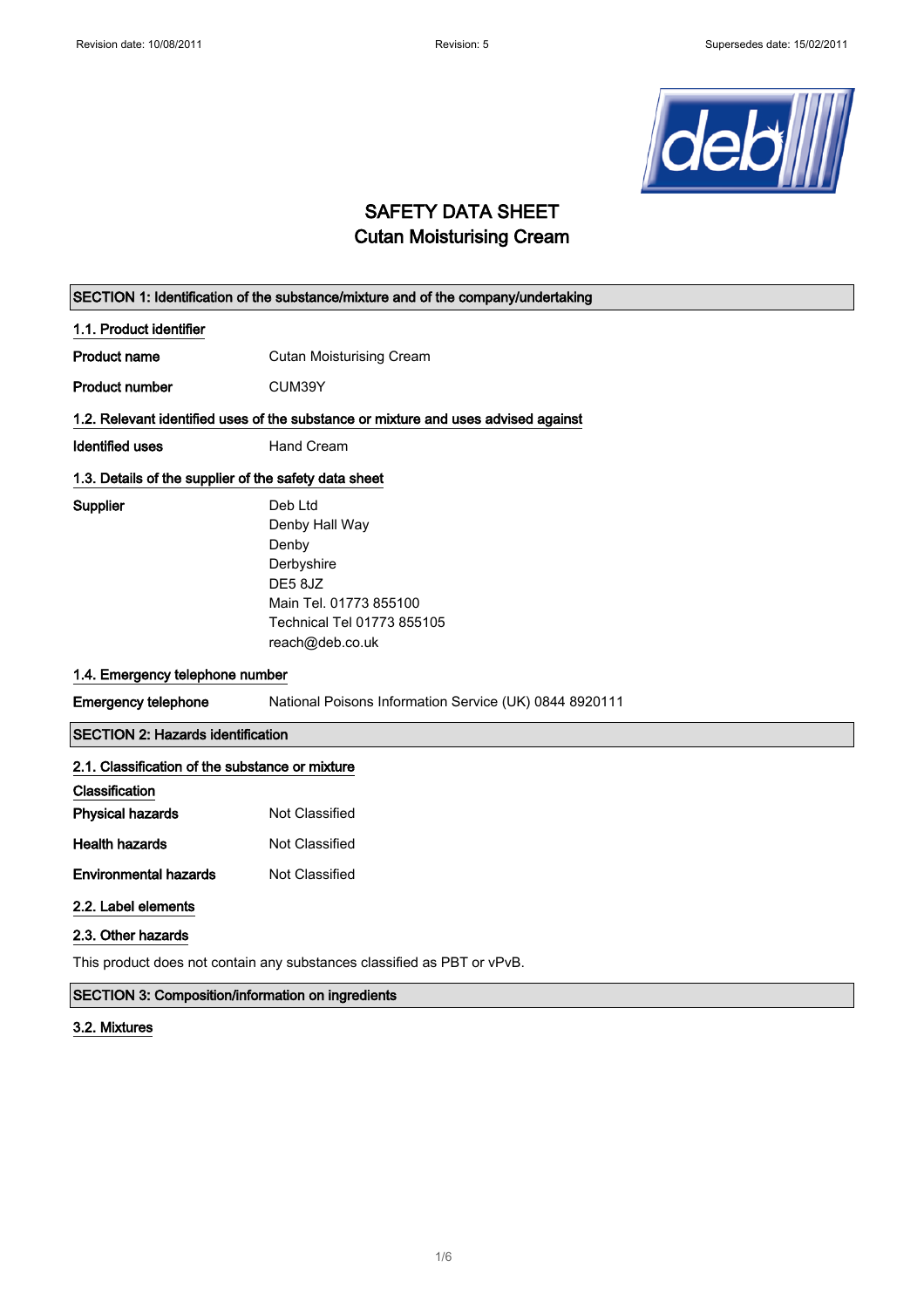

### SAFETY DATA SHEET Cutan Moisturising Cream

|                                                                                    | SECTION 1: Identification of the substance/mixture and of the company/undertaking                                                      |  |
|------------------------------------------------------------------------------------|----------------------------------------------------------------------------------------------------------------------------------------|--|
| 1.1. Product identifier                                                            |                                                                                                                                        |  |
| <b>Product name</b>                                                                | <b>Cutan Moisturising Cream</b>                                                                                                        |  |
| <b>Product number</b>                                                              | CUM39Y                                                                                                                                 |  |
| 1.2. Relevant identified uses of the substance or mixture and uses advised against |                                                                                                                                        |  |
| Identified uses                                                                    | Hand Cream                                                                                                                             |  |
| 1.3. Details of the supplier of the safety data sheet                              |                                                                                                                                        |  |
| Supplier                                                                           | Deb Ltd<br>Denby Hall Way<br>Denby<br>Derbyshire<br>DE5 8JZ<br>Main Tel. 01773 855100<br>Technical Tel 01773 855105<br>reach@deb.co.uk |  |
| 1.4. Emergency telephone number                                                    |                                                                                                                                        |  |
| <b>Emergency telephone</b>                                                         | National Poisons Information Service (UK) 0844 8920111                                                                                 |  |
| <b>SECTION 2: Hazards identification</b>                                           |                                                                                                                                        |  |
| 2.1. Classification of the substance or mixture                                    |                                                                                                                                        |  |
| Classification<br><b>Physical hazards</b>                                          | Not Classified                                                                                                                         |  |
| <b>Health hazards</b>                                                              | Not Classified                                                                                                                         |  |
| <b>Environmental hazards</b>                                                       | Not Classified                                                                                                                         |  |
| 2.2. Label elements                                                                |                                                                                                                                        |  |
| 2.3. Other hazards                                                                 |                                                                                                                                        |  |

This product does not contain any substances classified as PBT or vPvB.

#### SECTION 3: Composition/information on ingredients

#### 3.2. Mixtures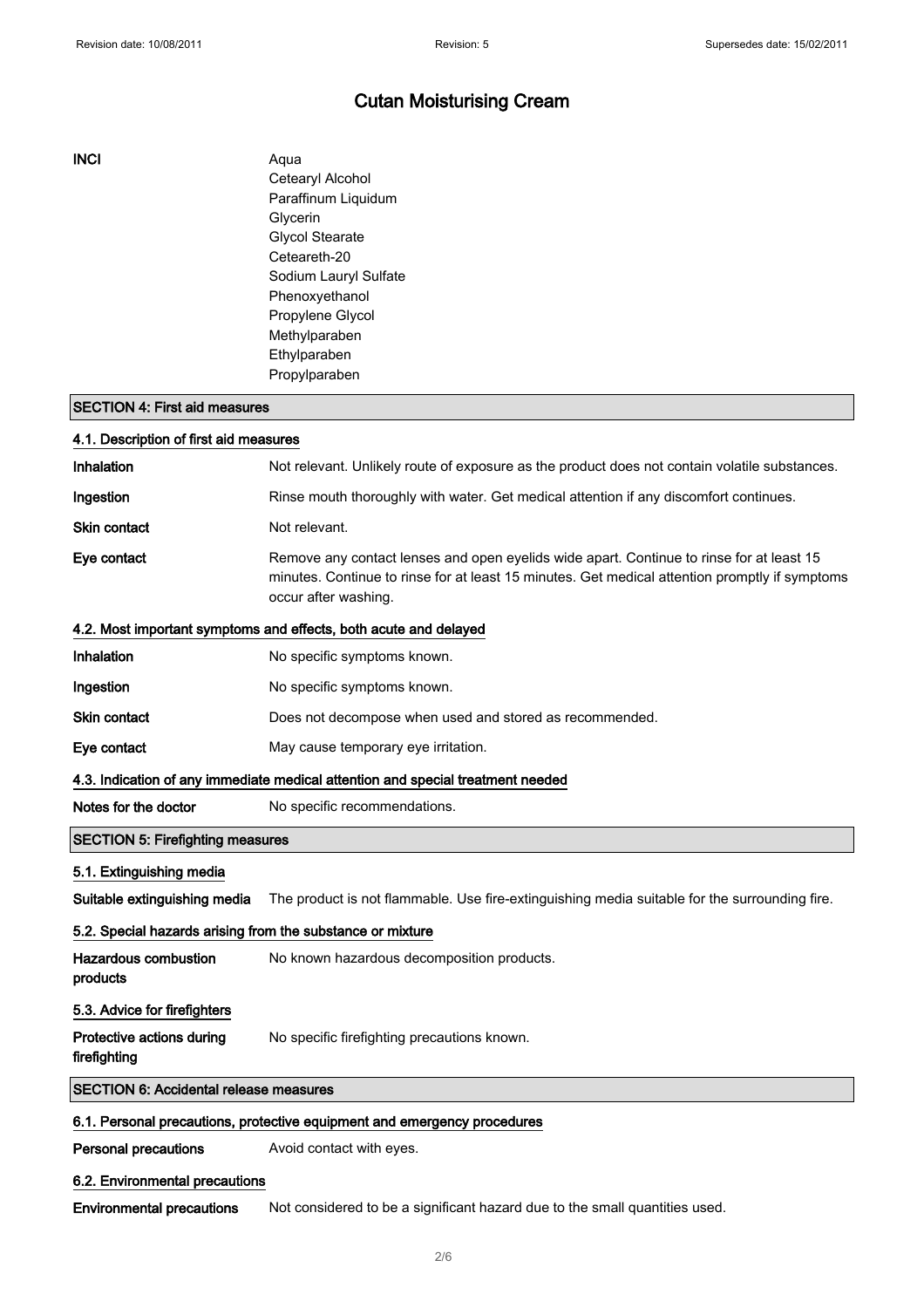#### INCI Aqua

Cetearyl Alcohol Paraffinum Liquidum Glycerin Glycol Stearate Ceteareth-20 Sodium Lauryl Sulfate Phenoxyethanol Propylene Glycol Methylparaben Ethylparaben Propylparaben

#### SECTION 4: First aid measures

| 4.1. Description of first aid measures                                          |                                                                                                                                                                                                                    |  |
|---------------------------------------------------------------------------------|--------------------------------------------------------------------------------------------------------------------------------------------------------------------------------------------------------------------|--|
| Inhalation                                                                      | Not relevant. Unlikely route of exposure as the product does not contain volatile substances.                                                                                                                      |  |
| Ingestion                                                                       | Rinse mouth thoroughly with water. Get medical attention if any discomfort continues.                                                                                                                              |  |
| <b>Skin contact</b>                                                             | Not relevant.                                                                                                                                                                                                      |  |
| Eye contact                                                                     | Remove any contact lenses and open eyelids wide apart. Continue to rinse for at least 15<br>minutes. Continue to rinse for at least 15 minutes. Get medical attention promptly if symptoms<br>occur after washing. |  |
|                                                                                 | 4.2. Most important symptoms and effects, both acute and delayed                                                                                                                                                   |  |
| Inhalation                                                                      | No specific symptoms known.                                                                                                                                                                                        |  |
| Ingestion                                                                       | No specific symptoms known.                                                                                                                                                                                        |  |
| <b>Skin contact</b>                                                             | Does not decompose when used and stored as recommended.                                                                                                                                                            |  |
| Eye contact                                                                     | May cause temporary eye irritation.                                                                                                                                                                                |  |
| 4.3. Indication of any immediate medical attention and special treatment needed |                                                                                                                                                                                                                    |  |
| Notes for the doctor                                                            | No specific recommendations.                                                                                                                                                                                       |  |
| <b>SECTION 5: Firefighting measures</b>                                         |                                                                                                                                                                                                                    |  |
| 5.1. Extinguishing media                                                        |                                                                                                                                                                                                                    |  |
| Suitable extinguishing media                                                    | The product is not flammable. Use fire-extinguishing media suitable for the surrounding fire.                                                                                                                      |  |
| 5.2. Special hazards arising from the substance or mixture                      |                                                                                                                                                                                                                    |  |
| <b>Hazardous combustion</b><br>products                                         | No known hazardous decomposition products.                                                                                                                                                                         |  |
| 5.3. Advice for firefighters                                                    |                                                                                                                                                                                                                    |  |
| Protective actions during<br>firefighting                                       | No specific firefighting precautions known.                                                                                                                                                                        |  |
| <b>SECTION 6: Accidental release measures</b>                                   |                                                                                                                                                                                                                    |  |
|                                                                                 | 6.1. Personal precautions, protective equipment and emergency procedures                                                                                                                                           |  |
| <b>Personal precautions</b>                                                     | Avoid contact with eyes.                                                                                                                                                                                           |  |
| 6.2. Environmental precautions                                                  |                                                                                                                                                                                                                    |  |

Environmental precautions Not considered to be a significant hazard due to the small quantities used.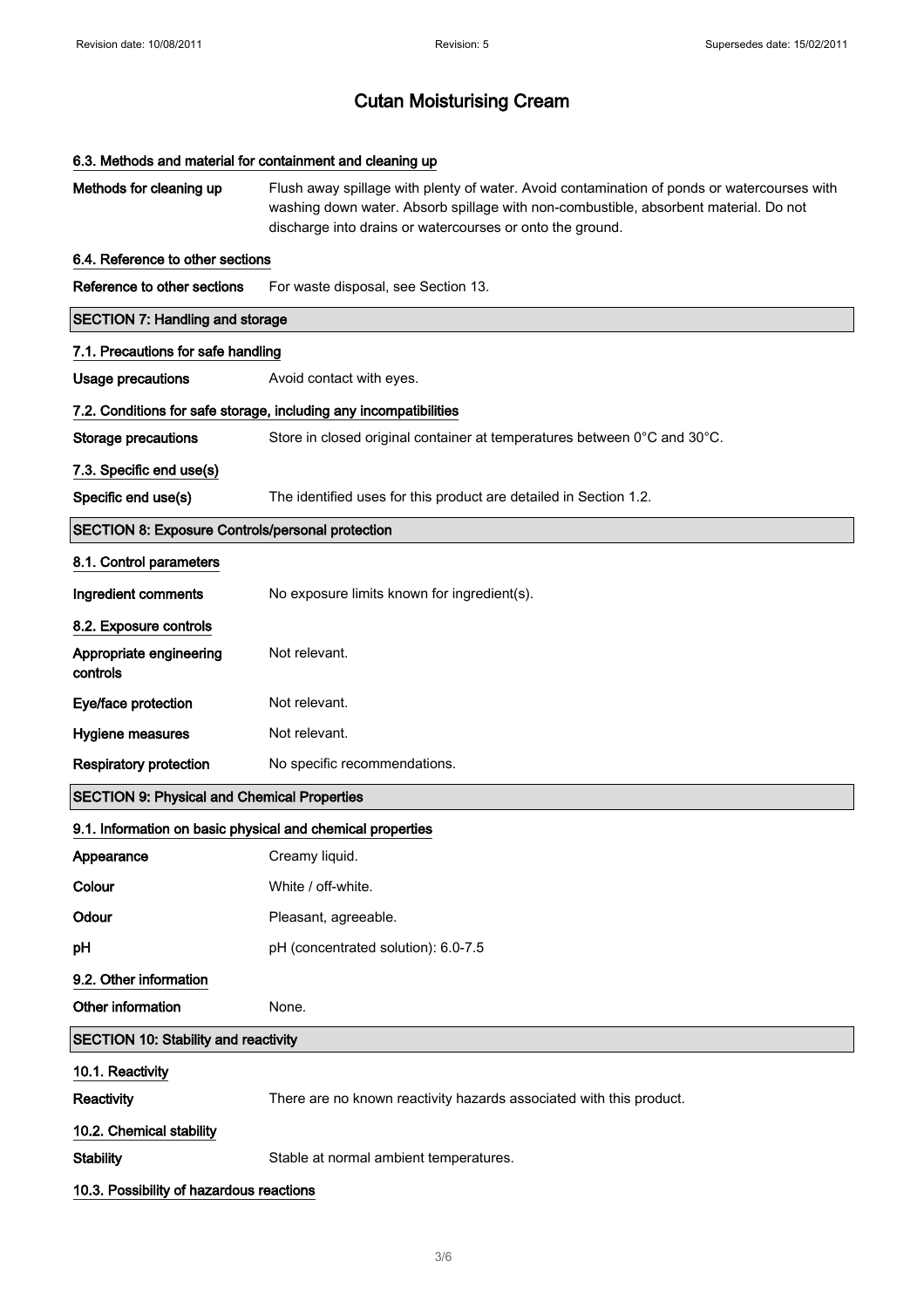| 6.3. Methods and material for containment and cleaning up  |                                                                                                                                                                                                                                                  |  |
|------------------------------------------------------------|--------------------------------------------------------------------------------------------------------------------------------------------------------------------------------------------------------------------------------------------------|--|
| Methods for cleaning up                                    | Flush away spillage with plenty of water. Avoid contamination of ponds or watercourses with<br>washing down water. Absorb spillage with non-combustible, absorbent material. Do not<br>discharge into drains or watercourses or onto the ground. |  |
| 6.4. Reference to other sections                           |                                                                                                                                                                                                                                                  |  |
| Reference to other sections                                | For waste disposal, see Section 13.                                                                                                                                                                                                              |  |
| <b>SECTION 7: Handling and storage</b>                     |                                                                                                                                                                                                                                                  |  |
| 7.1. Precautions for safe handling                         |                                                                                                                                                                                                                                                  |  |
| <b>Usage precautions</b>                                   | Avoid contact with eyes.                                                                                                                                                                                                                         |  |
|                                                            | 7.2. Conditions for safe storage, including any incompatibilities                                                                                                                                                                                |  |
| <b>Storage precautions</b>                                 | Store in closed original container at temperatures between 0°C and 30°C.                                                                                                                                                                         |  |
| 7.3. Specific end use(s)                                   |                                                                                                                                                                                                                                                  |  |
| Specific end use(s)                                        | The identified uses for this product are detailed in Section 1.2.                                                                                                                                                                                |  |
| <b>SECTION 8: Exposure Controls/personal protection</b>    |                                                                                                                                                                                                                                                  |  |
| 8.1. Control parameters                                    |                                                                                                                                                                                                                                                  |  |
| Ingredient comments                                        | No exposure limits known for ingredient(s).                                                                                                                                                                                                      |  |
| 8.2. Exposure controls                                     |                                                                                                                                                                                                                                                  |  |
| Appropriate engineering<br>controls                        | Not relevant.                                                                                                                                                                                                                                    |  |
| Eye/face protection                                        | Not relevant.                                                                                                                                                                                                                                    |  |
| Hygiene measures                                           | Not relevant.                                                                                                                                                                                                                                    |  |
| <b>Respiratory protection</b>                              | No specific recommendations.                                                                                                                                                                                                                     |  |
| <b>SECTION 9: Physical and Chemical Properties</b>         |                                                                                                                                                                                                                                                  |  |
| 9.1. Information on basic physical and chemical properties |                                                                                                                                                                                                                                                  |  |
| Appearance                                                 | Creamy liquid.                                                                                                                                                                                                                                   |  |
| Colour                                                     | White / off-white.                                                                                                                                                                                                                               |  |
| Odour                                                      | Pleasant, agreeable.                                                                                                                                                                                                                             |  |
| pH                                                         | pH (concentrated solution): 6.0-7.5                                                                                                                                                                                                              |  |
| 9.2. Other information                                     |                                                                                                                                                                                                                                                  |  |
| Other information                                          | None.                                                                                                                                                                                                                                            |  |
| <b>SECTION 10: Stability and reactivity</b>                |                                                                                                                                                                                                                                                  |  |
| 10.1. Reactivity                                           |                                                                                                                                                                                                                                                  |  |
| Reactivity                                                 | There are no known reactivity hazards associated with this product.                                                                                                                                                                              |  |
| 10.2. Chemical stability                                   |                                                                                                                                                                                                                                                  |  |
| <b>Stability</b>                                           | Stable at normal ambient temperatures.                                                                                                                                                                                                           |  |
| 10.3. Possibility of hazardous reactions                   |                                                                                                                                                                                                                                                  |  |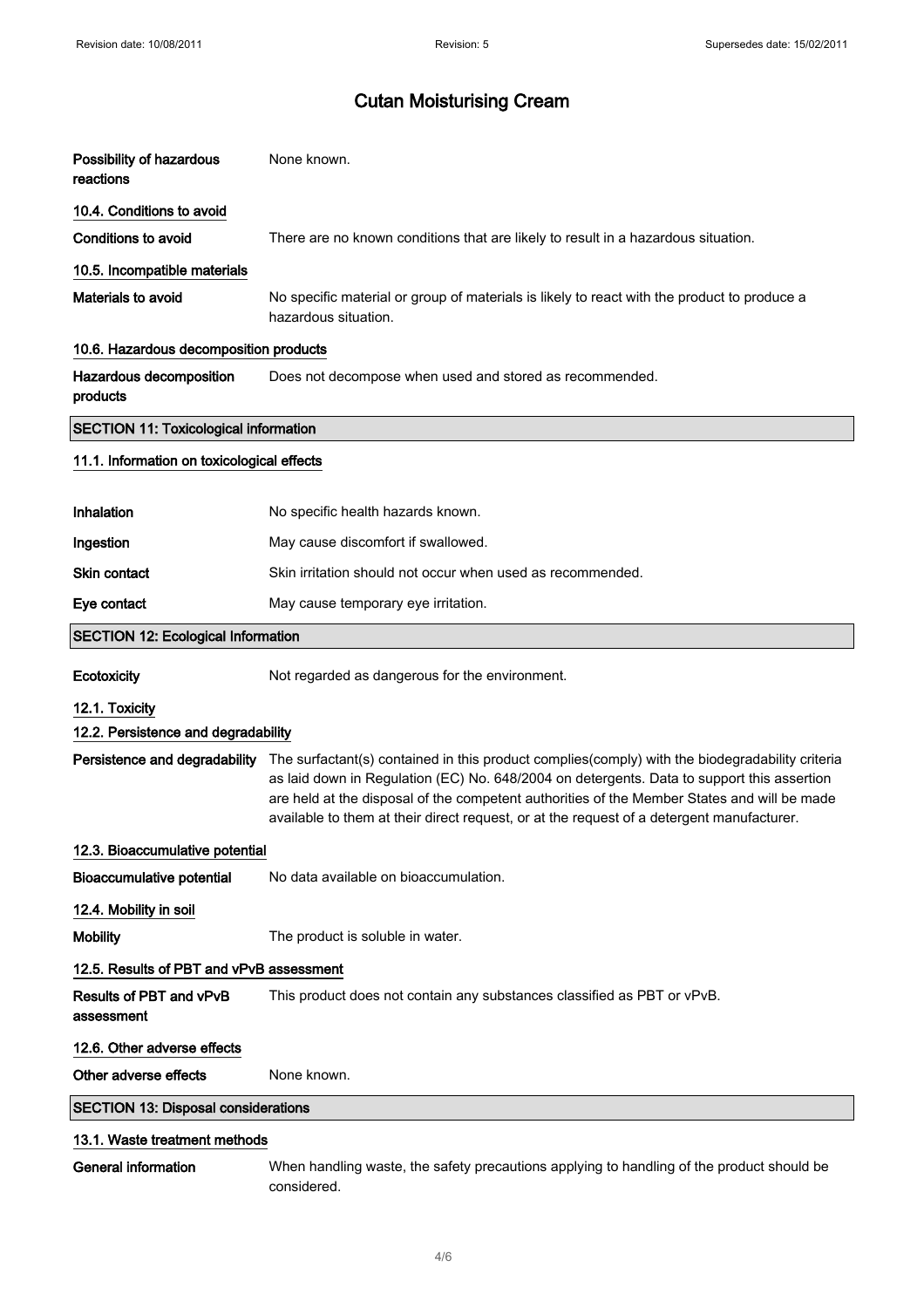| Possibility of hazardous<br>reactions        | None known.                                                                                                                                                                                                                                                                                                                                                                                                             |  |
|----------------------------------------------|-------------------------------------------------------------------------------------------------------------------------------------------------------------------------------------------------------------------------------------------------------------------------------------------------------------------------------------------------------------------------------------------------------------------------|--|
| 10.4. Conditions to avoid                    |                                                                                                                                                                                                                                                                                                                                                                                                                         |  |
| <b>Conditions to avoid</b>                   | There are no known conditions that are likely to result in a hazardous situation.                                                                                                                                                                                                                                                                                                                                       |  |
| 10.5. Incompatible materials                 |                                                                                                                                                                                                                                                                                                                                                                                                                         |  |
| Materials to avoid                           | No specific material or group of materials is likely to react with the product to produce a<br>hazardous situation.                                                                                                                                                                                                                                                                                                     |  |
| 10.6. Hazardous decomposition products       |                                                                                                                                                                                                                                                                                                                                                                                                                         |  |
| Hazardous decomposition<br>products          | Does not decompose when used and stored as recommended.                                                                                                                                                                                                                                                                                                                                                                 |  |
| <b>SECTION 11: Toxicological information</b> |                                                                                                                                                                                                                                                                                                                                                                                                                         |  |
| 11.1. Information on toxicological effects   |                                                                                                                                                                                                                                                                                                                                                                                                                         |  |
| Inhalation                                   | No specific health hazards known.                                                                                                                                                                                                                                                                                                                                                                                       |  |
| Ingestion                                    | May cause discomfort if swallowed.                                                                                                                                                                                                                                                                                                                                                                                      |  |
| <b>Skin contact</b>                          | Skin irritation should not occur when used as recommended.                                                                                                                                                                                                                                                                                                                                                              |  |
| Eye contact                                  | May cause temporary eye irritation.                                                                                                                                                                                                                                                                                                                                                                                     |  |
| <b>SECTION 12: Ecological Information</b>    |                                                                                                                                                                                                                                                                                                                                                                                                                         |  |
| Ecotoxicity                                  | Not regarded as dangerous for the environment.                                                                                                                                                                                                                                                                                                                                                                          |  |
| 12.1. Toxicity                               |                                                                                                                                                                                                                                                                                                                                                                                                                         |  |
| 12.2. Persistence and degradability          |                                                                                                                                                                                                                                                                                                                                                                                                                         |  |
|                                              | Persistence and degradability The surfactant(s) contained in this product complies(comply) with the biodegradability criteria<br>as laid down in Regulation (EC) No. 648/2004 on detergents. Data to support this assertion<br>are held at the disposal of the competent authorities of the Member States and will be made<br>available to them at their direct request, or at the request of a detergent manufacturer. |  |
| 12.3. Bioaccumulative potential              |                                                                                                                                                                                                                                                                                                                                                                                                                         |  |
| <b>Bioaccumulative potential</b>             | No data available on bioaccumulation.                                                                                                                                                                                                                                                                                                                                                                                   |  |
| 12.4. Mobility in soil                       |                                                                                                                                                                                                                                                                                                                                                                                                                         |  |
| <b>Mobility</b>                              | The product is soluble in water.                                                                                                                                                                                                                                                                                                                                                                                        |  |
| 12.5. Results of PBT and vPvB assessment     |                                                                                                                                                                                                                                                                                                                                                                                                                         |  |
| Results of PBT and vPvB<br>assessment        | This product does not contain any substances classified as PBT or vPvB.                                                                                                                                                                                                                                                                                                                                                 |  |
| 12.6. Other adverse effects                  |                                                                                                                                                                                                                                                                                                                                                                                                                         |  |
| Other adverse effects                        | None known.                                                                                                                                                                                                                                                                                                                                                                                                             |  |
| <b>SECTION 13: Disposal considerations</b>   |                                                                                                                                                                                                                                                                                                                                                                                                                         |  |
| 13.1. Waste treatment methods                |                                                                                                                                                                                                                                                                                                                                                                                                                         |  |
|                                              |                                                                                                                                                                                                                                                                                                                                                                                                                         |  |

General information When handling waste, the safety precautions applying to handling of the product should be considered.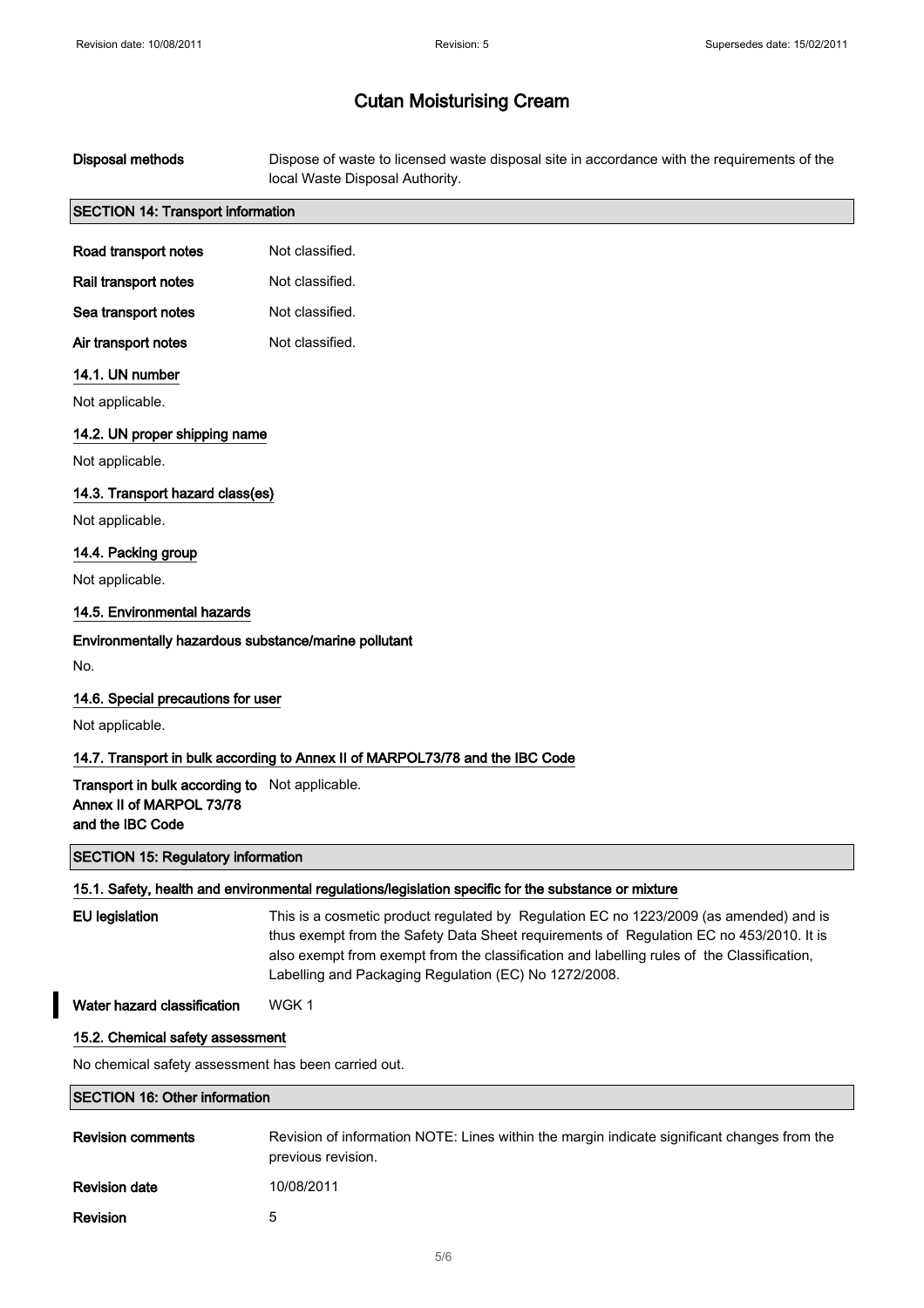| <b>Disposal methods</b>                                                                        | Dispose of waste to licensed waste disposal site in accordance with the requirements of the<br>local Waste Disposal Authority.                                                                                                                                                                                                           |  |
|------------------------------------------------------------------------------------------------|------------------------------------------------------------------------------------------------------------------------------------------------------------------------------------------------------------------------------------------------------------------------------------------------------------------------------------------|--|
| <b>SECTION 14: Transport information</b>                                                       |                                                                                                                                                                                                                                                                                                                                          |  |
| Road transport notes                                                                           | Not classified.                                                                                                                                                                                                                                                                                                                          |  |
| Rail transport notes                                                                           | Not classified.                                                                                                                                                                                                                                                                                                                          |  |
| Sea transport notes                                                                            | Not classified.                                                                                                                                                                                                                                                                                                                          |  |
| Air transport notes                                                                            | Not classified.                                                                                                                                                                                                                                                                                                                          |  |
| 14.1. UN number                                                                                |                                                                                                                                                                                                                                                                                                                                          |  |
| Not applicable.                                                                                |                                                                                                                                                                                                                                                                                                                                          |  |
| 14.2. UN proper shipping name                                                                  |                                                                                                                                                                                                                                                                                                                                          |  |
| Not applicable.                                                                                |                                                                                                                                                                                                                                                                                                                                          |  |
| 14.3. Transport hazard class(es)                                                               |                                                                                                                                                                                                                                                                                                                                          |  |
| Not applicable.                                                                                |                                                                                                                                                                                                                                                                                                                                          |  |
| 14.4. Packing group                                                                            |                                                                                                                                                                                                                                                                                                                                          |  |
| Not applicable.                                                                                |                                                                                                                                                                                                                                                                                                                                          |  |
| 14.5. Environmental hazards                                                                    |                                                                                                                                                                                                                                                                                                                                          |  |
| Environmentally hazardous substance/marine pollutant                                           |                                                                                                                                                                                                                                                                                                                                          |  |
| No.                                                                                            |                                                                                                                                                                                                                                                                                                                                          |  |
| 14.6. Special precautions for user                                                             |                                                                                                                                                                                                                                                                                                                                          |  |
| Not applicable.                                                                                |                                                                                                                                                                                                                                                                                                                                          |  |
|                                                                                                | 14.7. Transport in bulk according to Annex II of MARPOL73/78 and the IBC Code                                                                                                                                                                                                                                                            |  |
| Transport in bulk according to Not applicable.<br>Annex II of MARPOL 73/78<br>and the IBC Code |                                                                                                                                                                                                                                                                                                                                          |  |
| <b>SECTION 15: Regulatory information</b>                                                      |                                                                                                                                                                                                                                                                                                                                          |  |
|                                                                                                | 15.1. Safety, health and environmental regulations/legislation specific for the substance or mixture                                                                                                                                                                                                                                     |  |
| <b>EU</b> legislation                                                                          | This is a cosmetic product regulated by Regulation EC no 1223/2009 (as amended) and is<br>thus exempt from the Safety Data Sheet requirements of Regulation EC no 453/2010. It is<br>also exempt from exempt from the classification and labelling rules of the Classification,<br>Labelling and Packaging Regulation (EC) No 1272/2008. |  |
| Water hazard classification                                                                    | WGK 1                                                                                                                                                                                                                                                                                                                                    |  |
| 15.2. Chemical safety assessment                                                               |                                                                                                                                                                                                                                                                                                                                          |  |
| No chemical safety assessment has been carried out.                                            |                                                                                                                                                                                                                                                                                                                                          |  |
| <b>SECTION 16: Other information</b>                                                           |                                                                                                                                                                                                                                                                                                                                          |  |
| <b>Revision comments</b>                                                                       | Revision of information NOTE: Lines within the margin indicate significant changes from the<br>previous revision.                                                                                                                                                                                                                        |  |

**Revision date** 10/08/2011

Revision 5

 $\overline{\phantom{a}}$